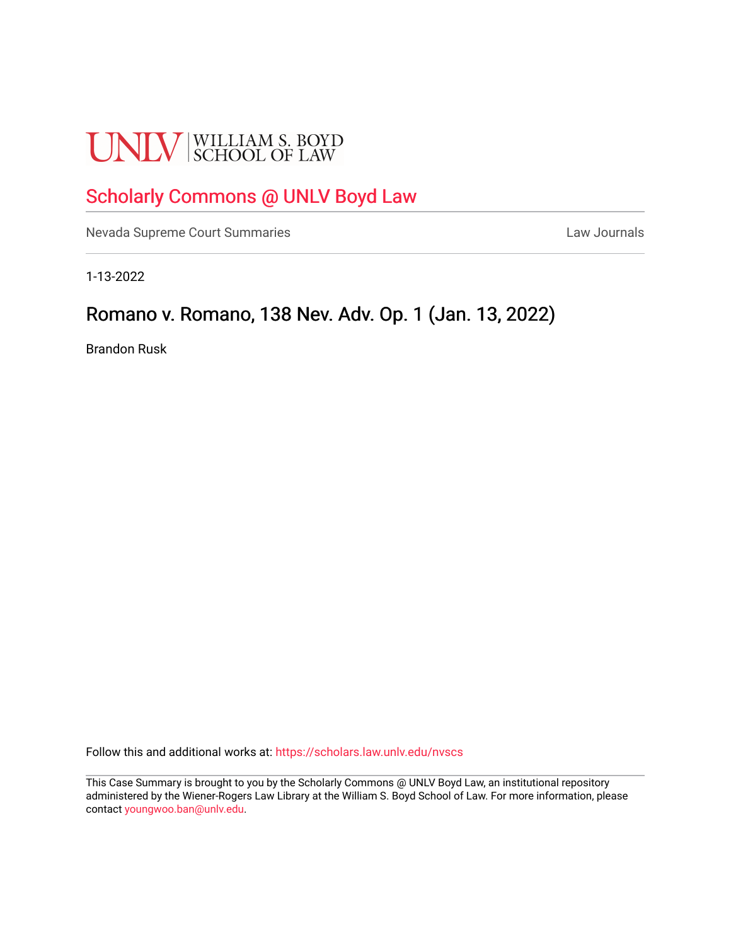# **UNLV** SCHOOL OF LAW

# [Scholarly Commons @ UNLV Boyd Law](https://scholars.law.unlv.edu/)

[Nevada Supreme Court Summaries](https://scholars.law.unlv.edu/nvscs) **Law Journals** Law Journals

1-13-2022

# Romano v. Romano, 138 Nev. Adv. Op. 1 (Jan. 13, 2022)

Brandon Rusk

Follow this and additional works at: [https://scholars.law.unlv.edu/nvscs](https://scholars.law.unlv.edu/nvscs?utm_source=scholars.law.unlv.edu%2Fnvscs%2F1468&utm_medium=PDF&utm_campaign=PDFCoverPages)

This Case Summary is brought to you by the Scholarly Commons @ UNLV Boyd Law, an institutional repository administered by the Wiener-Rogers Law Library at the William S. Boyd School of Law. For more information, please contact [youngwoo.ban@unlv.edu](mailto:youngwoo.ban@unlv.edu).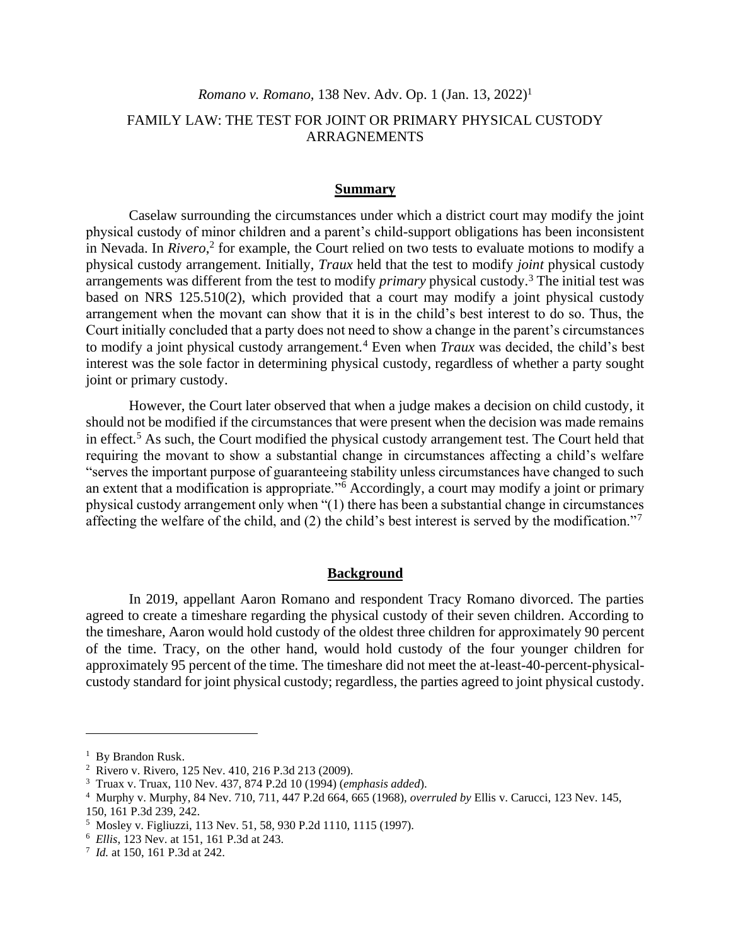## *Romano v. Romano,* 138 Nev. Adv. Op. 1 (Jan. 13, 2022) 1

## FAMILY LAW: THE TEST FOR JOINT OR PRIMARY PHYSICAL CUSTODY ARRAGNEMENTS

#### **Summary**

Caselaw surrounding the circumstances under which a district court may modify the joint physical custody of minor children and a parent's child-support obligations has been inconsistent in Nevada. In *Rivero*,<sup>2</sup> for example, the Court relied on two tests to evaluate motions to modify a physical custody arrangement. Initially, *Traux* held that the test to modify *joint* physical custody arrangements was different from the test to modify *primary* physical custody.<sup>3</sup> The initial test was based on NRS 125.510(2), which provided that a court may modify a joint physical custody arrangement when the movant can show that it is in the child's best interest to do so. Thus, the Court initially concluded that a party does not need to show a change in the parent's circumstances to modify a joint physical custody arrangement.<sup>4</sup> Even when *Traux* was decided, the child's best interest was the sole factor in determining physical custody, regardless of whether a party sought joint or primary custody.

However, the Court later observed that when a judge makes a decision on child custody, it should not be modified if the circumstances that were present when the decision was made remains in effect.<sup>5</sup> As such, the Court modified the physical custody arrangement test. The Court held that requiring the movant to show a substantial change in circumstances affecting a child's welfare "serves the important purpose of guaranteeing stability unless circumstances have changed to such an extent that a modification is appropriate."<sup>6</sup> Accordingly, a court may modify a joint or primary physical custody arrangement only when "(1) there has been a substantial change in circumstances affecting the welfare of the child, and (2) the child's best interest is served by the modification."<sup>7</sup>

#### **Background**

In 2019, appellant Aaron Romano and respondent Tracy Romano divorced. The parties agreed to create a timeshare regarding the physical custody of their seven children. According to the timeshare, Aaron would hold custody of the oldest three children for approximately 90 percent of the time. Tracy, on the other hand, would hold custody of the four younger children for approximately 95 percent of the time. The timeshare did not meet the at-least-40-percent-physicalcustody standard for joint physical custody; regardless, the parties agreed to joint physical custody.

<sup>&</sup>lt;sup>1</sup> By Brandon Rusk.

<sup>2</sup> Rivero v. Rivero, 125 Nev. 410, 216 P.3d 213 (2009).

<sup>3</sup> Truax v. Truax, 110 Nev. 437, 874 P.2d 10 (1994) (*emphasis added*).

<sup>4</sup> Murphy v. Murphy, 84 Nev. 710, 711, 447 P.2d 664, 665 (1968), *overruled by* Ellis v. Carucci, 123 Nev. 145, 150, 161 P.3d 239, 242.

<sup>5</sup> Mosley v. Figliuzzi, 113 Nev. 51, 58, 930 P.2d 1110, 1115 (1997).

<sup>6</sup> *Ellis*, 123 Nev. at 151, 161 P.3d at 243.

<sup>7</sup> *Id.* at 150, 161 P.3d at 242.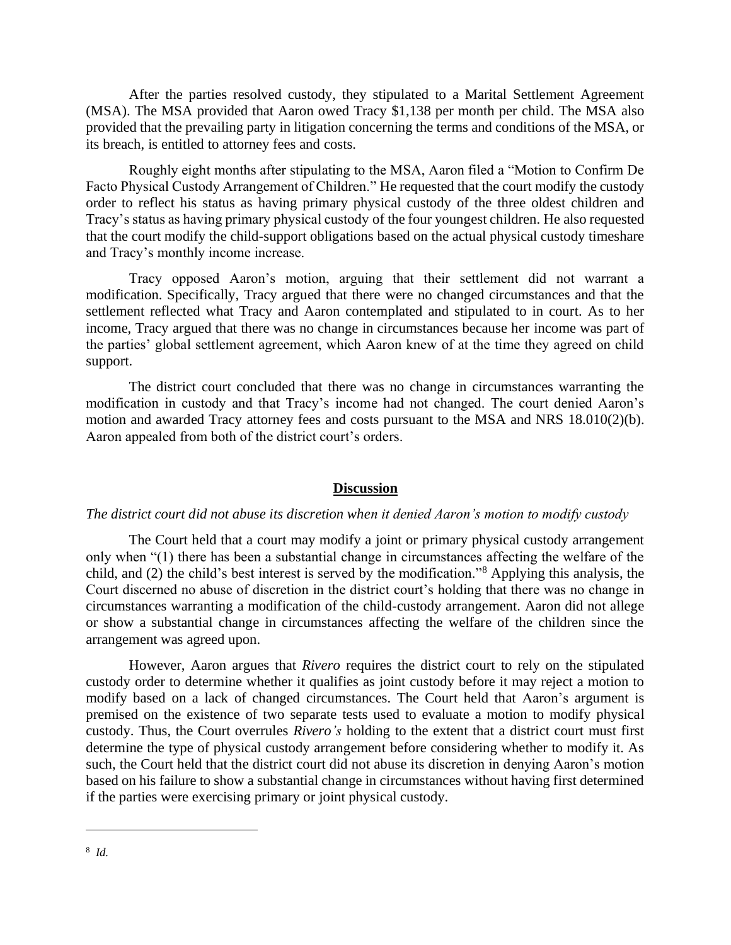After the parties resolved custody, they stipulated to a Marital Settlement Agreement (MSA). The MSA provided that Aaron owed Tracy \$1,138 per month per child. The MSA also provided that the prevailing party in litigation concerning the terms and conditions of the MSA, or its breach, is entitled to attorney fees and costs.

Roughly eight months after stipulating to the MSA, Aaron filed a "Motion to Confirm De Facto Physical Custody Arrangement of Children." He requested that the court modify the custody order to reflect his status as having primary physical custody of the three oldest children and Tracy's status as having primary physical custody of the four youngest children. He also requested that the court modify the child-support obligations based on the actual physical custody timeshare and Tracy's monthly income increase.

Tracy opposed Aaron's motion, arguing that their settlement did not warrant a modification. Specifically, Tracy argued that there were no changed circumstances and that the settlement reflected what Tracy and Aaron contemplated and stipulated to in court. As to her income, Tracy argued that there was no change in circumstances because her income was part of the parties' global settlement agreement, which Aaron knew of at the time they agreed on child support.

The district court concluded that there was no change in circumstances warranting the modification in custody and that Tracy's income had not changed. The court denied Aaron's motion and awarded Tracy attorney fees and costs pursuant to the MSA and NRS 18.010(2)(b). Aaron appealed from both of the district court's orders.

#### **Discussion**

#### *The district court did not abuse its discretion when it denied Aaron's motion to modify custody*

The Court held that a court may modify a joint or primary physical custody arrangement only when "(1) there has been a substantial change in circumstances affecting the welfare of the child, and (2) the child's best interest is served by the modification."<sup>8</sup> Applying this analysis, the Court discerned no abuse of discretion in the district court's holding that there was no change in circumstances warranting a modification of the child-custody arrangement. Aaron did not allege or show a substantial change in circumstances affecting the welfare of the children since the arrangement was agreed upon.

However, Aaron argues that *Rivero* requires the district court to rely on the stipulated custody order to determine whether it qualifies as joint custody before it may reject a motion to modify based on a lack of changed circumstances. The Court held that Aaron's argument is premised on the existence of two separate tests used to evaluate a motion to modify physical custody. Thus, the Court overrules *Rivero's* holding to the extent that a district court must first determine the type of physical custody arrangement before considering whether to modify it. As such, the Court held that the district court did not abuse its discretion in denying Aaron's motion based on his failure to show a substantial change in circumstances without having first determined if the parties were exercising primary or joint physical custody.